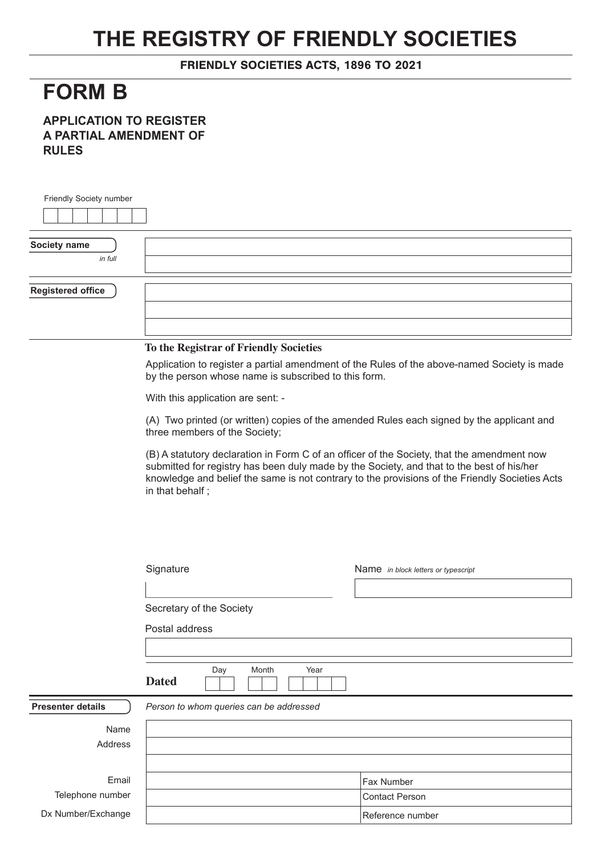## **THE REGISTRY OF FRIENDLY SOCIETIES**

FRIENDLY SOCIETIES ACTS, 1896 TO 2021

## **FORM B**

**APPLICATION TO REGISTER A PARTIAL AMENDMENT OF RULES**

| Friendly Society number  |                                                                                                                                                                                                                                                                                                              |                                                                                             |  |
|--------------------------|--------------------------------------------------------------------------------------------------------------------------------------------------------------------------------------------------------------------------------------------------------------------------------------------------------------|---------------------------------------------------------------------------------------------|--|
|                          |                                                                                                                                                                                                                                                                                                              |                                                                                             |  |
|                          |                                                                                                                                                                                                                                                                                                              |                                                                                             |  |
| Society name             |                                                                                                                                                                                                                                                                                                              |                                                                                             |  |
| in full                  |                                                                                                                                                                                                                                                                                                              |                                                                                             |  |
|                          |                                                                                                                                                                                                                                                                                                              |                                                                                             |  |
| <b>Registered office</b> |                                                                                                                                                                                                                                                                                                              |                                                                                             |  |
|                          |                                                                                                                                                                                                                                                                                                              |                                                                                             |  |
|                          |                                                                                                                                                                                                                                                                                                              |                                                                                             |  |
|                          | To the Registrar of Friendly Societies                                                                                                                                                                                                                                                                       |                                                                                             |  |
|                          | by the person whose name is subscribed to this form.                                                                                                                                                                                                                                                         | Application to register a partial amendment of the Rules of the above-named Society is made |  |
|                          | With this application are sent: -                                                                                                                                                                                                                                                                            |                                                                                             |  |
|                          | (A) Two printed (or written) copies of the amended Rules each signed by the applicant and<br>three members of the Society;                                                                                                                                                                                   |                                                                                             |  |
|                          | (B) A statutory declaration in Form C of an officer of the Society, that the amendment now<br>submitted for registry has been duly made by the Society, and that to the best of his/her<br>knowledge and belief the same is not contrary to the provisions of the Friendly Societies Acts<br>in that behalf; |                                                                                             |  |
|                          | Signature                                                                                                                                                                                                                                                                                                    | Name in block letters or typescript                                                         |  |
|                          |                                                                                                                                                                                                                                                                                                              |                                                                                             |  |
|                          | Secretary of the Society                                                                                                                                                                                                                                                                                     |                                                                                             |  |
|                          | Postal address                                                                                                                                                                                                                                                                                               |                                                                                             |  |
|                          |                                                                                                                                                                                                                                                                                                              |                                                                                             |  |
|                          |                                                                                                                                                                                                                                                                                                              |                                                                                             |  |
|                          | Year<br>Day<br>Month<br><b>Dated</b>                                                                                                                                                                                                                                                                         |                                                                                             |  |
| <b>Presenter details</b> | Person to whom queries can be addressed                                                                                                                                                                                                                                                                      |                                                                                             |  |
| Name                     |                                                                                                                                                                                                                                                                                                              |                                                                                             |  |
| Address                  |                                                                                                                                                                                                                                                                                                              |                                                                                             |  |
|                          |                                                                                                                                                                                                                                                                                                              |                                                                                             |  |
| Email                    |                                                                                                                                                                                                                                                                                                              | Fax Number                                                                                  |  |
| Telephone number         |                                                                                                                                                                                                                                                                                                              | <b>Contact Person</b>                                                                       |  |
| Dx Number/Exchange       |                                                                                                                                                                                                                                                                                                              | Reference number                                                                            |  |